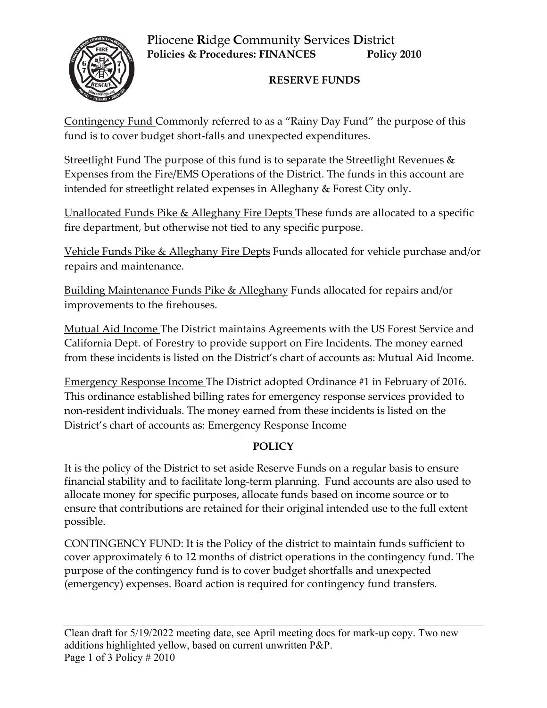# **P**liocene **R**idge **C**ommunity **S**ervices **D**istrict **Policies & Procedures: FINANCES Policy 2010**



## **RESERVE FUNDS**

Contingency Fund Commonly referred to as a "Rainy Day Fund" the purpose of this fund is to cover budget short-falls and unexpected expenditures.

Streetlight Fund The purpose of this fund is to separate the Streetlight Revenues & Expenses from the Fire/EMS Operations of the District. The funds in this account are intended for streetlight related expenses in Alleghany & Forest City only.

Unallocated Funds Pike & Alleghany Fire Depts These funds are allocated to a specific fire department, but otherwise not tied to any specific purpose.

Vehicle Funds Pike & Alleghany Fire Depts Funds allocated for vehicle purchase and/or repairs and maintenance.

Building Maintenance Funds Pike & Alleghany Funds allocated for repairs and/or improvements to the firehouses.

Mutual Aid Income The District maintains Agreements with the US Forest Service and California Dept. of Forestry to provide support on Fire Incidents. The money earned from these incidents is listed on the District's chart of accounts as: Mutual Aid Income.

Emergency Response Income The District adopted Ordinance #1 in February of 2016. This ordinance established billing rates for emergency response services provided to non-resident individuals. The money earned from these incidents is listed on the District's chart of accounts as: Emergency Response Income

### **POLICY**

It is the policy of the District to set aside Reserve Funds on a regular basis to ensure financial stability and to facilitate long-term planning. Fund accounts are also used to allocate money for specific purposes, allocate funds based on income source or to ensure that contributions are retained for their original intended use to the full extent possible.

CONTINGENCY FUND: It is the Policy of the district to maintain funds sufficient to cover approximately 6 to 12 months of district operations in the contingency fund. The purpose of the contingency fund is to cover budget shortfalls and unexpected (emergency) expenses. Board action is required for contingency fund transfers.

Clean draft for 5/19/2022 meeting date, see April meeting docs for mark-up copy. Two new additions highlighted yellow, based on current unwritten P&P. Page 1 of 3 Policy # 2010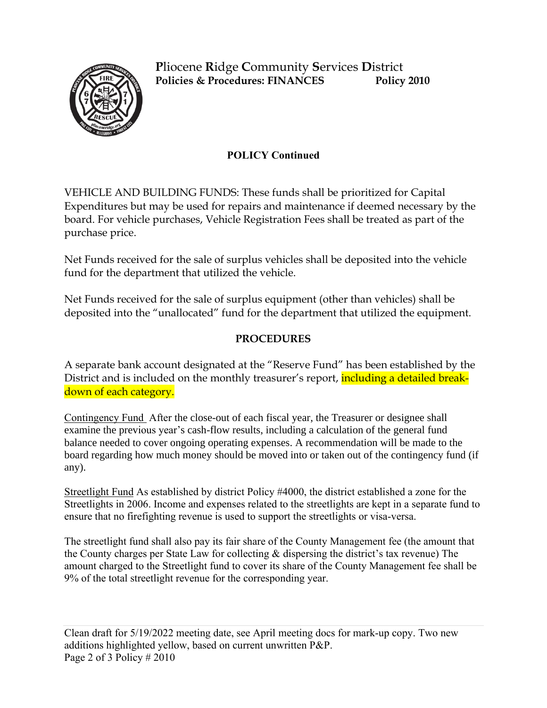

**P**liocene **R**idge **C**ommunity **S**ervices **D**istrict **Policies & Procedures: FINANCES Policy 2010**

### **POLICY Continued**

VEHICLE AND BUILDING FUNDS: These funds shall be prioritized for Capital Expenditures but may be used for repairs and maintenance if deemed necessary by the board. For vehicle purchases, Vehicle Registration Fees shall be treated as part of the purchase price.

Net Funds received for the sale of surplus vehicles shall be deposited into the vehicle fund for the department that utilized the vehicle.

Net Funds received for the sale of surplus equipment (other than vehicles) shall be deposited into the "unallocated" fund for the department that utilized the equipment.

#### **PROCEDURES**

A separate bank account designated at the "Reserve Fund" has been established by the District and is included on the monthly treasurer's report, **including a detailed break**down of each category.

Contingency Fund After the close-out of each fiscal year, the Treasurer or designee shall examine the previous year's cash-flow results, including a calculation of the general fund balance needed to cover ongoing operating expenses. A recommendation will be made to the board regarding how much money should be moved into or taken out of the contingency fund (if any).

Streetlight Fund As established by district Policy #4000, the district established a zone for the Streetlights in 2006. Income and expenses related to the streetlights are kept in a separate fund to ensure that no firefighting revenue is used to support the streetlights or visa-versa.

The streetlight fund shall also pay its fair share of the County Management fee (the amount that the County charges per State Law for collecting & dispersing the district's tax revenue) The amount charged to the Streetlight fund to cover its share of the County Management fee shall be 9% of the total streetlight revenue for the corresponding year.

Clean draft for 5/19/2022 meeting date, see April meeting docs for mark-up copy. Two new additions highlighted yellow, based on current unwritten P&P. Page 2 of 3 Policy # 2010